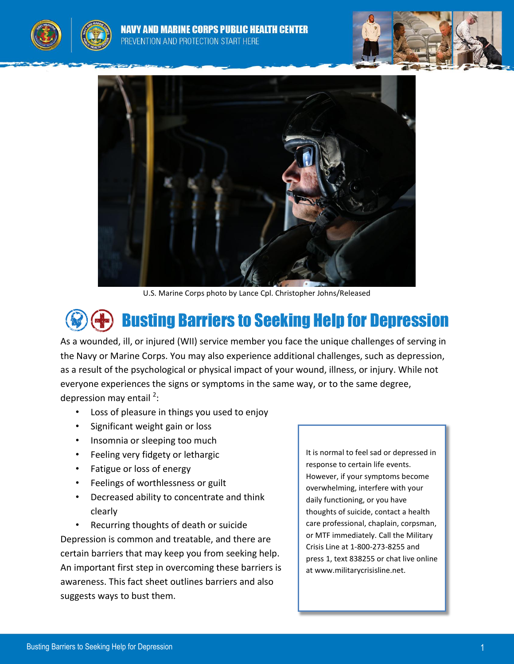





U.S. Marine Corps photo by Lance Cpl. Christopher Johns/Released

## Busting Barriers to Seeking Help for Depression

As a wounded, ill, or injured (WII) service member you face the unique challenges of serving in the Navy or Marine Corps. You may also experience additional challenges, such as depression, as a result of the psychological or physical impact of your wound, illness, or injury. While not everyone experiences the signs or symptoms in the same way, or to the same degree, depression may entail <sup>[2](#page-2-0)</sup>:

- Loss of pleasure in things you used to enjoy
- Significant weight gain or loss
- Insomnia or sleeping too much
- Feeling very fidgety or lethargic
- Fatigue or loss of energy
- Feelings of worthlessness or guilt
- Decreased ability to concentrate and think clearly

• Recurring thoughts of death or suicide Depression is common and treatable, and there are certain barriers that may keep you from seeking help. An important first step in overcoming these barriers is awareness. This fact sheet outlines barriers and also suggests ways to bust them.

It is normal to feel sad or depressed in response to certain life events. However, if your symptoms become overwhelming, interfere with your daily functioning, or you have thoughts of suicide, contact a health care professional, chaplain, corpsman, or MTF immediately. Call the Military Crisis Line at 1-800-273-8255 and press 1, text 838255 or chat live online at www.militarycrisisline.net.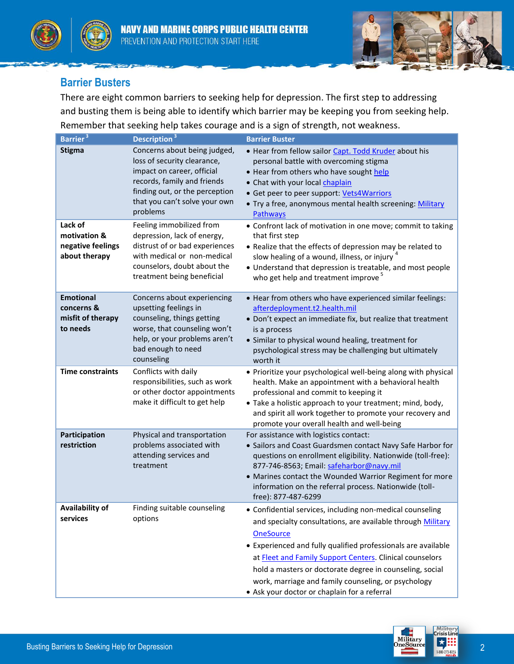





## **Barrier Busters**

There are eight common barriers to seeking help for depression. The first step to addressing and busting them is being able to identify which barrier may be keeping you from seeking help. Remember that seeking help takes courage and is a sign of strength, not weakness.

| Barrier <sup>3</sup>                                            | Description <sup>3</sup>                                                                                                                                                                                | <b>Barrier Buster</b>                                                                                                                                                                                                                                                                                                                                                                                                                        |
|-----------------------------------------------------------------|---------------------------------------------------------------------------------------------------------------------------------------------------------------------------------------------------------|----------------------------------------------------------------------------------------------------------------------------------------------------------------------------------------------------------------------------------------------------------------------------------------------------------------------------------------------------------------------------------------------------------------------------------------------|
| <b>Stigma</b>                                                   | Concerns about being judged,<br>loss of security clearance,<br>impact on career, official<br>records, family and friends<br>finding out, or the perception<br>that you can't solve your own<br>problems | • Hear from fellow sailor Capt. Todd Kruder about his<br>personal battle with overcoming stigma<br>• Hear from others who have sought help<br>• Chat with your local chaplain<br>• Get peer to peer support: Vets4Warriors<br>• Try a free, anonymous mental health screening: Military<br>Pathways                                                                                                                                          |
| Lack of<br>motivation &<br>negative feelings<br>about therapy   | Feeling immobilized from<br>depression, lack of energy,<br>distrust of or bad experiences<br>with medical or non-medical<br>counselors, doubt about the<br>treatment being beneficial                   | • Confront lack of motivation in one move; commit to taking<br>that first step<br>• Realize that the effects of depression may be related to<br>slow healing of a wound, illness, or injury <sup>4</sup><br>• Understand that depression is treatable, and most people<br>who get help and treatment improve <sup>5</sup>                                                                                                                    |
| <b>Emotional</b><br>concerns &<br>misfit of therapy<br>to needs | Concerns about experiencing<br>upsetting feelings in<br>counseling, things getting<br>worse, that counseling won't<br>help, or your problems aren't<br>bad enough to need<br>counseling                 | • Hear from others who have experienced similar feelings:<br>afterdeployment.t2.health.mil<br>• Don't expect an immediate fix, but realize that treatment<br>is a process<br>• Similar to physical wound healing, treatment for<br>psychological stress may be challenging but ultimately<br>worth it                                                                                                                                        |
| <b>Time constraints</b>                                         | Conflicts with daily<br>responsibilities, such as work<br>or other doctor appointments<br>make it difficult to get help                                                                                 | • Prioritize your psychological well-being along with physical<br>health. Make an appointment with a behavioral health<br>professional and commit to keeping it<br>• Take a holistic approach to your treatment; mind, body,<br>and spirit all work together to promote your recovery and<br>promote your overall health and well-being                                                                                                      |
| Participation<br>restriction                                    | Physical and transportation<br>problems associated with<br>attending services and<br>treatment                                                                                                          | For assistance with logistics contact:<br>• Sailors and Coast Guardsmen contact Navy Safe Harbor for<br>questions on enrollment eligibility. Nationwide (toll-free):<br>877-746-8563; Email: safeharbor@navy.mil<br>• Marines contact the Wounded Warrior Regiment for more<br>information on the referral process. Nationwide (toll-<br>free): 877-487-6299                                                                                 |
| Availability of<br>services                                     | Finding suitable counseling<br>options                                                                                                                                                                  | • Confidential services, including non-medical counseling<br>and specialty consultations, are available through Military<br><b>OneSource</b><br>• Experienced and fully qualified professionals are available<br>at Fleet and Family Support Centers. Clinical counselors<br>hold a masters or doctorate degree in counseling, social<br>work, marriage and family counseling, or psychology<br>• Ask your doctor or chaplain for a referral |